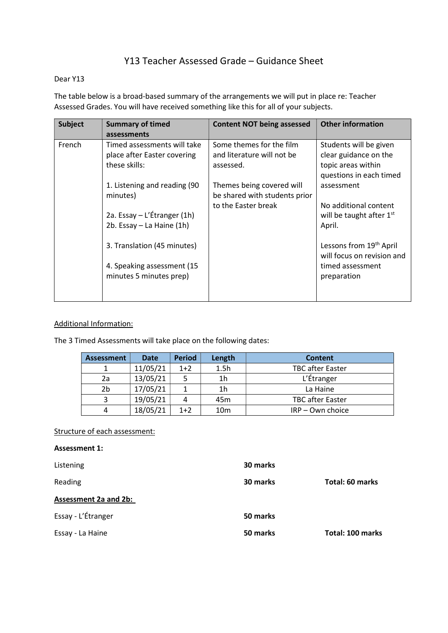# Y13 Teacher Assessed Grade – Guidance Sheet

## Dear Y13

The table below is a broad-based summary of the arrangements we will put in place re: Teacher Assessed Grades. You will have received something like this for all of your subjects.

| Subject | <b>Summary of timed</b><br>assessments                                      | <b>Content NOT being assessed</b>                                   | <b>Other information</b>                                                                         |  |
|---------|-----------------------------------------------------------------------------|---------------------------------------------------------------------|--------------------------------------------------------------------------------------------------|--|
| French  | Timed assessments will take<br>place after Easter covering<br>these skills: | Some themes for the film<br>and literature will not be<br>assessed. | Students will be given<br>clear guidance on the<br>topic areas within<br>questions in each timed |  |
|         | 1. Listening and reading (90<br>minutes)                                    | Themes being covered will<br>be shared with students prior          | assessment                                                                                       |  |
|         | 2a. Essay - L'Étranger (1h)<br>2b. Essay - La Haine (1h)                    | to the Easter break                                                 | No additional content<br>will be taught after $1st$<br>April.                                    |  |
|         | 3. Translation (45 minutes)                                                 |                                                                     | Lessons from 19 <sup>th</sup> April<br>will focus on revision and                                |  |
|         | 4. Speaking assessment (15<br>minutes 5 minutes prep)                       |                                                                     | timed assessment<br>preparation                                                                  |  |

## Additional Information:

The 3 Timed Assessments will take place on the following dates:

| <b>Assessment</b> | <b>Date</b> | <b>Period</b> | Length          | <b>Content</b>          |
|-------------------|-------------|---------------|-----------------|-------------------------|
|                   | 11/05/21    | $1+2$         | 1.5h            | <b>TBC</b> after Easter |
| 2a                | 13/05/21    |               | 1h              | L'Étranger              |
| 2b                | 17/05/21    |               | 1 <sub>h</sub>  | La Haine                |
|                   | 19/05/21    |               | 45 <sub>m</sub> | <b>TBC after Easter</b> |
|                   | 18/05/21    | $1+2$         | 10 <sub>m</sub> | $IRP - Own$ choice      |

## Structure of each assessment:

| <b>Assessment 1:</b>         |          |                  |
|------------------------------|----------|------------------|
| Listening                    | 30 marks |                  |
| Reading                      | 30 marks | Total: 60 marks  |
| <b>Assessment 2a and 2b:</b> |          |                  |
| Essay - L'Étranger           | 50 marks |                  |
| Essay - La Haine             | 50 marks | Total: 100 marks |